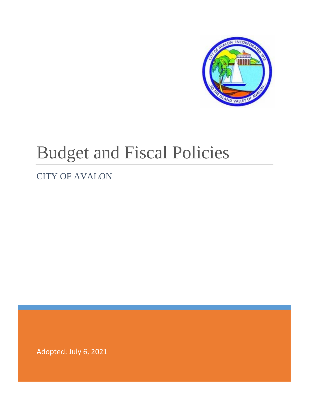

# Budget and Fiscal Policies

# CITY OF AVALON

Adopted: July 6, 2021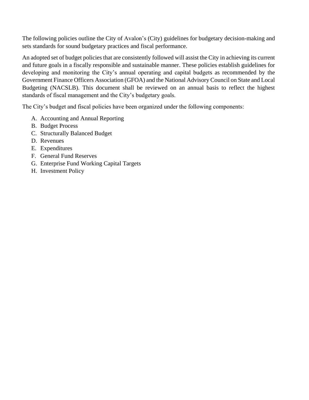The following policies outline the City of Avalon's (City) guidelines for budgetary decision-making and sets standards for sound budgetary practices and fiscal performance.

An adopted set of budget policies that are consistently followed will assist the City in achieving its current and future goals in a fiscally responsible and sustainable manner. These policies establish guidelines for developing and monitoring the City's annual operating and capital budgets as recommended by the Government Finance Officers Association (GFOA) and the National Advisory Council on State and Local Budgeting (NACSLB). This document shall be reviewed on an annual basis to reflect the highest standards of fiscal management and the City's budgetary goals.

The City's budget and fiscal policies have been organized under the following components:

- A. Accounting and Annual Reporting
- B. Budget Process
- C. Structurally Balanced Budget
- D. Revenues
- E. Expenditures
- F. General Fund Reserves
- G. Enterprise Fund Working Capital Targets
- H. Investment Policy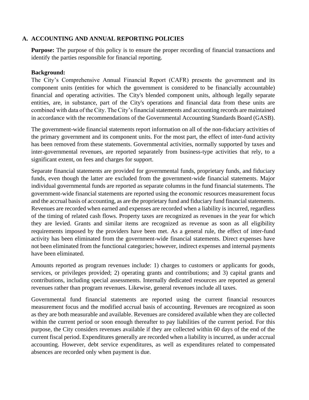#### **A. ACCOUNTING AND ANNUAL REPORTING POLICIES**

**Purpose:** The purpose of this policy is to ensure the proper recording of financial transactions and identify the parties responsible for financial reporting.

#### **Background:**

The City's Comprehensive Annual Financial Report (CAFR) presents the government and its component units (entities for which the government is considered to be financially accountable) financial and operating activities. The City's blended component units, although legally separate entities, are, in substance, part of the City's operations and financial data from these units are combined with data of the City. The City's financial statements and accounting records are maintained in accordance with the recommendations of the Governmental Accounting Standards Board (GASB).

The government-wide financial statements report information on all of the non-fiduciary activities of the primary government and its component units. For the most part, the effect of inter-fund activity has been removed from these statements. Governmental activities, normally supported by taxes and inter-governmental revenues, are reported separately from business-type activities that rely, to a significant extent, on fees and charges for support.

Separate financial statements are provided for governmental funds, proprietary funds, and fiduciary funds, even though the latter are excluded from the government-wide financial statements. Major individual governmental funds are reported as separate columns in the fund financial statements. The government-wide financial statements are reported using the economic resources measurement focus and the accrual basis of accounting, as are the proprietary fund and fiduciary fund financial statements. Revenues are recorded when earned and expenses are recorded when a liability is incurred, regardless of the timing of related cash flows. Property taxes are recognized as revenues in the year for which they are levied. Grants and similar items are recognized as revenue as soon as all eligibility requirements imposed by the providers have been met. As a general rule, the effect of inter-fund activity has been eliminated from the government-wide financial statements. Direct expenses have not been eliminated from the functional categories; however, indirect expenses and internal payments have been eliminated.

Amounts reported as program revenues include: 1) charges to customers or applicants for goods, services, or privileges provided; 2) operating grants and contributions; and 3) capital grants and contributions, including special assessments. Internally dedicated resources are reported as general revenues rather than program revenues. Likewise, general revenues include all taxes.

Governmental fund financial statements are reported using the current financial resources measurement focus and the modified accrual basis of accounting. Revenues are recognized as soon as they are both measurable and available. Revenues are considered available when they are collected within the current period or soon enough thereafter to pay liabilities of the current period. For this purpose, the City considers revenues available if they are collected within 60 days of the end of the current fiscal period. Expenditures generally are recorded when a liability is incurred, as under accrual accounting. However, debt service expenditures, as well as expenditures related to compensated absences are recorded only when payment is due.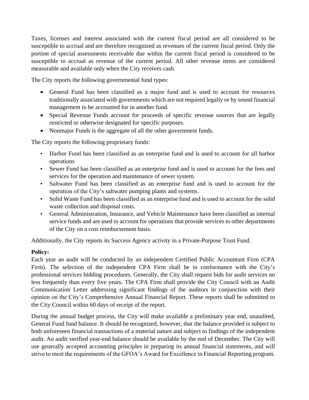Taxes, licenses and interest associated with the current fiscal period are all considered to be susceptible to accrual and are therefore recognized as revenues of the current fiscal period. Only the portion of special assessments receivable due within the current fiscal period is considered to be susceptible to accrual as revenue of the current period. All other revenue items are considered measurable and available only when the City receives cash.

The City reports the following governmental fund types:

- General Fund has been classified as a major fund and is used to account for resources traditionally associated with governments which are not required legally or by sound financial management to be accounted for in another fund.
- Special Revenue Funds account for proceeds of specific revenue sources that are legally restricted or otherwise designated for specific purposes.
- Nonmajor Funds is the aggregate of all the other government funds.

The City reports the following proprietary funds:

- Harbor Fund has been classified as an enterprise fund and is used to account for all harbor operations
- Sewer Fund has been classified as an enterprise fund and is used to account for the fees and services for the operation and maintenance of sewer system.
- Saltwater Fund has been classified as an enterprise fund and is used to account for the operation of the City's saltwater pumping plants and systems.
- Solid Waste Fund has been classified as an enterprise fund and is used to account for the solid waste collection and disposal costs.
- General Administration, Insurance, and Vehicle Maintenance have been classified as internal service funds and are used to account for operations that provide services to other departments of the City on a cost reimbursement basis.

Additionally, the City reports its Success Agency activity in a Private-Purpose Trust Fund.

# **Policy:**

Each year an audit will be conducted by an independent Certified Public Accountant Firm (CPA Firm). The selection of the independent CPA Firm shall be in conformance with the City's professional services bidding procedures. Generally, the City shall request bids for audit services no less frequently than every five years. The CPA Firm shall provide the City Council with an Audit Communication Letter addressing significant findings of the auditors in conjunction with their opinion on the City's Comprehensive Annual Financial Report. These reports shall be submitted to the City Council within 60 days of receipt of the report.

During the annual budget process, the City will make available a preliminary year end, unaudited, General Fund fund balance. It should be recognized, however, that the balance provided is subject to both unforeseen financial transactions of a material nature and subject to findings of the independent audit. An audit verified year-end balance should be available by the end of December. The City will use generally accepted accounting principles in preparing its annual financial statements, and will strive to meet the requirements of the GFOA's Award for Excellence in Financial Reporting program.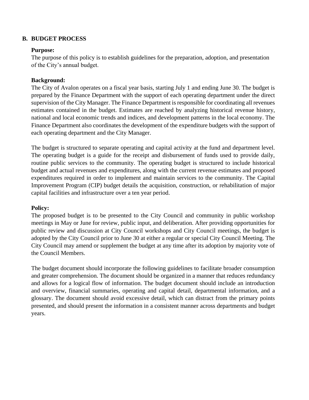#### **B. BUDGET PROCESS**

#### **Purpose:**

The purpose of this policy is to establish guidelines for the preparation, adoption, and presentation of the City's annual budget.

#### **Background:**

The City of Avalon operates on a fiscal year basis, starting July 1 and ending June 30. The budget is prepared by the Finance Department with the support of each operating department under the direct supervision of the City Manager. The Finance Department is responsible for coordinating all revenues estimates contained in the budget. Estimates are reached by analyzing historical revenue history, national and local economic trends and indices, and development patterns in the local economy. The Finance Department also coordinates the development of the expenditure budgets with the support of each operating department and the City Manager.

The budget is structured to separate operating and capital activity at the fund and department level. The operating budget is a guide for the receipt and disbursement of funds used to provide daily, routine public services to the community. The operating budget is structured to include historical budget and actual revenues and expenditures, along with the current revenue estimates and proposed expenditures required in order to implement and maintain services to the community. The Capital Improvement Program (CIP) budget details the acquisition, construction, or rehabilitation of major capital facilities and infrastructure over a ten year period.

#### **Policy:**

The proposed budget is to be presented to the City Council and community in public workshop meetings in May or June for review, public input, and deliberation. After providing opportunities for public review and discussion at City Council workshops and City Council meetings, the budget is adopted by the City Council prior to June 30 at either a regular or special City Council Meeting. The City Council may amend or supplement the budget at any time after its adoption by majority vote of the Council Members.

The budget document should incorporate the following guidelines to facilitate broader consumption and greater comprehension. The document should be organized in a manner that reduces redundancy and allows for a logical flow of information. The budget document should include an introduction and overview, financial summaries, operating and capital detail, departmental information, and a glossary. The document should avoid excessive detail, which can distract from the primary points presented, and should present the information in a consistent manner across departments and budget years.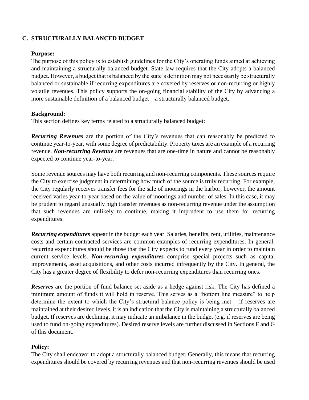# **C. STRUCTURALLY BALANCED BUDGET**

#### **Purpose:**

The purpose of this policy is to establish guidelines for the City's operating funds aimed at achieving and maintaining a structurally balanced budget. State law requires that the City adopts a balanced budget. However, a budget that is balanced by the state's definition may not necessarily be structurally balanced or sustainable if recurring expenditures are covered by reserves or non-recurring or highly volatile revenues. This policy supports the on-going financial stability of the City by advancing a more sustainable definition of a balanced budget – a structurally balanced budget.

#### **Background:**

This section defines key terms related to a structurally balanced budget:

*Recurring Revenues* are the portion of the City's revenues that can reasonably be predicted to continue year-to-year, with some degree of predictability. Property taxes are an example of a recurring revenue. *Non-recurring Revenue* are revenues that are one-time in nature and cannot be reasonably expected to continue year-to-year.

Some revenue sources may have both recurring and non-recurring components. These sources require the City to exercise judgment in determining how much of the source is truly recurring. For example, the City regularly receives transfer fees for the sale of moorings in the harbor; however, the amount received varies year-to-year based on the value of moorings and number of sales. In this case, it may be prudent to regard unusually high transfer revenues as non-recurring revenue under the assumption that such revenues are unlikely to continue, making it imprudent to use them for recurring expenditures.

*Recurring expenditures* appear in the budget each year. Salaries, benefits, rent, utilities, maintenance costs and certain contracted services are common examples of recurring expenditures. In general, recurring expenditures should be those that the City expects to fund every year in order to maintain current service levels. *Non-recurring expenditures* comprise special projects such as capital improvements, asset acquisitions, and other costs incurred infrequently by the City. In general, the City has a greater degree of flexibility to defer non-recurring expenditures than recurring ones.

*Reserves* are the portion of fund balance set aside as a hedge against risk. The City has defined a minimum amount of funds it will hold in reserve. This serves as a "bottom line measure" to help determine the extent to which the City's structural balance policy is being met – if reserves are maintained at their desired levels, it is an indication that the City is maintaining a structurally balanced budget. If reserves are declining, it may indicate an imbalance in the budget (e.g. if reserves are being used to fund on-going expenditures). Desired reserve levels are further discussed in Sections F and G of this document.

# **Policy:**

The City shall endeavor to adopt a structurally balanced budget. Generally, this means that recurring expenditures should be covered by recurring revenues and that non-recurring revenues should be used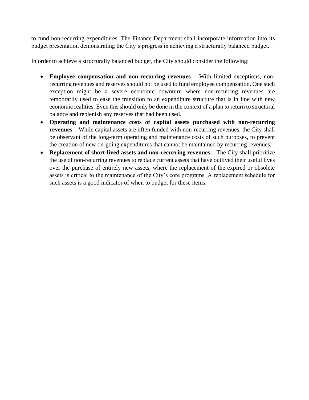to fund non-recurring expenditures. The Finance Department shall incorporate information into its budget presentation demonstrating the City's progress in achieving a structurally balanced budget.

In order to achieve a structurally balanced budget, the City should consider the following:

- **Employee compensation and non-recurring revenues** With limited exceptions, nonrecurring revenues and reserves should not be used to fund employee compensation. One such exception might be a severe economic downturn where non-recurring revenues are temporarily used to ease the transition to an expenditure structure that is in line with new economic realities. Even this should only be done in the context of a plan to return to structural balance and replenish any reserves that had been used.
- **Operating and maintenance costs of capital assets purchased with non-recurring revenues –** While capital assets are often funded with non-recurring revenues, the City shall be observant of the long-term operating and maintenance costs of such purposes, to prevent the creation of new on-going expenditures that cannot be maintained by recurring revenues.
- **Replacement of short-lived assets and non-recurring revenues** The City shall prioritize the use of non-recurring revenues to replace current assets that have outlived their useful lives over the purchase of entirely new assets, where the replacement of the expired or obsolete assets is critical to the maintenance of the City's core programs. A replacement schedule for such assets is a good indicator of when to budget for these items.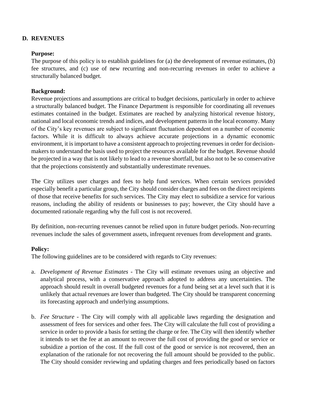# **D. REVENUES**

#### **Purpose:**

The purpose of this policy is to establish guidelines for (a) the development of revenue estimates, (b) fee structures, and (c) use of new recurring and non-recurring revenues in order to achieve a structurally balanced budget.

# **Background:**

Revenue projections and assumptions are critical to budget decisions, particularly in order to achieve a structurally balanced budget. The Finance Department is responsible for coordinating all revenues estimates contained in the budget. Estimates are reached by analyzing historical revenue history, national and local economic trends and indices, and development patterns in the local economy. Many of the City's key revenues are subject to significant fluctuation dependent on a number of economic factors. While it is difficult to always achieve accurate projections in a dynamic economic environment, it is important to have a consistent approach to projecting revenues in order for decisionmakers to understand the basis used to project the resources available for the budget. Revenue should be projected in a way that is not likely to lead to a revenue shortfall, but also not to be so conservative that the projections consistently and substantially underestimate revenues.

The City utilizes user charges and fees to help fund services. When certain services provided especially benefit a particular group, the City should consider charges and fees on the direct recipients of those that receive benefits for such services. The City may elect to subsidize a service for various reasons, including the ability of residents or businesses to pay; however, the City should have a documented rationale regarding why the full cost is not recovered.

By definition, non-recurring revenues cannot be relied upon in future budget periods. Non-recurring revenues include the sales of government assets, infrequent revenues from development and grants.

# **Policy:**

The following guidelines are to be considered with regards to City revenues:

- a. *Development of Revenue Estimates -* The City will estimate revenues using an objective and analytical process, with a conservative approach adopted to address any uncertainties. The approach should result in overall budgeted revenues for a fund being set at a level such that it is unlikely that actual revenues are lower than budgeted. The City should be transparent concerning its forecasting approach and underlying assumptions.
- b. *Fee Structure -* The City will comply with all applicable laws regarding the designation and assessment of fees for services and other fees. The City will calculate the full cost of providing a service in order to provide a basis for setting the charge or fee. The City will then identify whether it intends to set the fee at an amount to recover the full cost of providing the good or service or subsidize a portion of the cost. If the full cost of the good or service is not recovered, then an explanation of the rationale for not recovering the full amount should be provided to the public. The City should consider reviewing and updating charges and fees periodically based on factors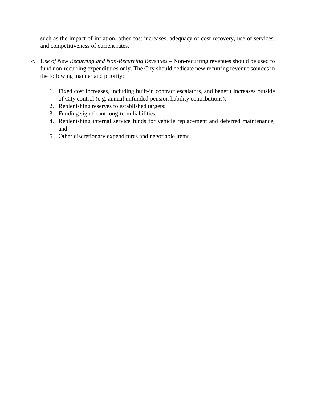such as the impact of inflation, other cost increases, adequacy of cost recovery, use of services, and competitiveness of current rates.

- c. *Use of New Recurring and Non-Recurring Revenues* Non-recurring revenues should be used to fund non-recurring expenditures only. The City should dedicate new recurring revenue sources in the following manner and priority:
	- 1. Fixed cost increases, including built-in contract escalators, and benefit increases outside of City control (e.g. annual unfunded pension liability contributions);
	- 2. Replenishing reserves to established targets;
	- 3. Funding significant long-term liabilities;
	- 4. Replenishing internal service funds for vehicle replacement and deferred maintenance; and
	- 5. Other discretionary expenditures and negotiable items.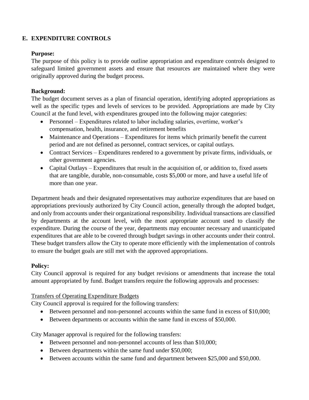# **E. EXPENDITURE CONTROLS**

#### **Purpose:**

The purpose of this policy is to provide outline appropriation and expenditure controls designed to safeguard limited government assets and ensure that resources are maintained where they were originally approved during the budget process.

#### **Background:**

The budget document serves as a plan of financial operation, identifying adopted appropriations as well as the specific types and levels of services to be provided. Appropriations are made by City Council at the fund level, with expenditures grouped into the following major categories:

- Personnel Expenditures related to labor including salaries, overtime, worker's compensation, health, insurance, and retirement benefits
- Maintenance and Operations Expenditures for items which primarily benefit the current period and are not defined as personnel, contract services, or capital outlays.
- Contract Services Expenditures rendered to a government by private firms, individuals, or other government agencies.
- Capital Outlays Expenditures that result in the acquisition of, or addition to, fixed assets that are tangible, durable, non-consumable, costs \$5,000 or more, and have a useful life of more than one year.

Department heads and their designated representatives may authorize expenditures that are based on appropriations previously authorized by City Council action, generally through the adopted budget, and only from accounts under their organizational responsibility. Individual transactions are classified by departments at the account level, with the most appropriate account used to classify the expenditure. During the course of the year, departments may encounter necessary and unanticipated expenditures that are able to be covered through budget savings in other accounts under their control. These budget transfers allow the City to operate more efficiently with the implementation of controls to ensure the budget goals are still met with the approved appropriations.

# **Policy:**

City Council approval is required for any budget revisions or amendments that increase the total amount appropriated by fund. Budget transfers require the following approvals and processes:

# Transfers of Operating Expenditure Budgets

City Council approval is required for the following transfers:

- Between personnel and non-personnel accounts within the same fund in excess of \$10,000;
- Between departments or accounts within the same fund in excess of \$50,000.

City Manager approval is required for the following transfers:

- Between personnel and non-personnel accounts of less than \$10,000;
- Between departments within the same fund under \$50,000;
- Between accounts within the same fund and department between \$25,000 and \$50,000.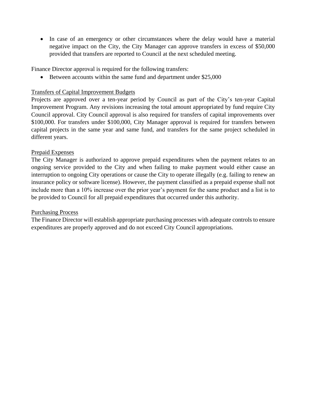• In case of an emergency or other circumstances where the delay would have a material negative impact on the City, the City Manager can approve transfers in excess of \$50,000 provided that transfers are reported to Council at the next scheduled meeting.

Finance Director approval is required for the following transfers:

Between accounts within the same fund and department under \$25,000

# Transfers of Capital Improvement Budgets

Projects are approved over a ten-year period by Council as part of the City's ten-year Capital Improvement Program. Any revisions increasing the total amount appropriated by fund require City Council approval. City Council approval is also required for transfers of capital improvements over \$100,000. For transfers under \$100,000, City Manager approval is required for transfers between capital projects in the same year and same fund, and transfers for the same project scheduled in different years.

#### Prepaid Expenses

The City Manager is authorized to approve prepaid expenditures when the payment relates to an ongoing service provided to the City and when failing to make payment would either cause an interruption to ongoing City operations or cause the City to operate illegally (e.g. failing to renew an insurance policy or software license). However, the payment classified as a prepaid expense shall not include more than a 10% increase over the prior year's payment for the same product and a list is to be provided to Council for all prepaid expenditures that occurred under this authority.

# Purchasing Process

The Finance Director will establish appropriate purchasing processes with adequate controls to ensure expenditures are properly approved and do not exceed City Council appropriations.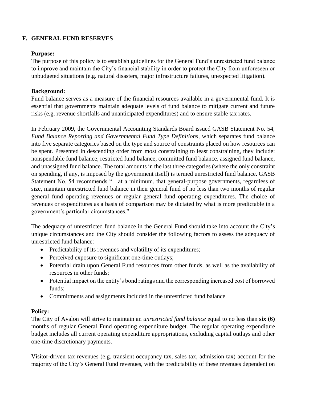# **F. GENERAL FUND RESERVES**

#### **Purpose:**

The purpose of this policy is to establish guidelines for the General Fund's unrestricted fund balance to improve and maintain the City's financial stability in order to protect the City from unforeseen or unbudgeted situations (e.g. natural disasters, major infrastructure failures, unexpected litigation).

# **Background:**

Fund balance serves as a measure of the financial resources available in a governmental fund. It is essential that governments maintain adequate levels of fund balance to mitigate current and future risks (e.g. revenue shortfalls and unanticipated expenditures) and to ensure stable tax rates.

In February 2009, the Governmental Accounting Standards Board issued GASB Statement No. 54, *Fund Balance Reporting and Governmental Fund Type Definitions*, which separates fund balance into five separate categories based on the type and source of constraints placed on how resources can be spent. Presented in descending order from most constraining to least constraining, they include: nonspendable fund balance, restricted fund balance, committed fund balance, assigned fund balance, and unassigned fund balance. The total amounts in the last three categories (where the only constraint on spending, if any, is imposed by the government itself) is termed unrestricted fund balance. GASB Statement No. 54 recommends "…at a minimum, that general-purpose governments, regardless of size, maintain unrestricted fund balance in their general fund of no less than two months of regular general fund operating revenues or regular general fund operating expenditures. The choice of revenues or expenditures as a basis of comparison may be dictated by what is more predictable in a government's particular circumstances."

The adequacy of unrestricted fund balance in the General Fund should take into account the City's unique circumstances and the City should consider the following factors to assess the adequacy of unrestricted fund balance:

- Predictability of its revenues and volatility of its expenditures;
- Perceived exposure to significant one-time outlays;
- Potential drain upon General Fund resources from other funds, as well as the availability of resources in other funds;
- Potential impact on the entity's bond ratings and the corresponding increased cost of borrowed funds;
- Commitments and assignments included in the unrestricted fund balance

# **Policy:**

The City of Avalon will strive to maintain an *unrestricted fund balance* equal to no less than **six (6)** months of regular General Fund operating expenditure budget. The regular operating expenditure budget includes all current operating expenditure appropriations, excluding capital outlays and other one-time discretionary payments.

Visitor-driven tax revenues (e.g. transient occupancy tax, sales tax, admission tax) account for the majority of the City's General Fund revenues, with the predictability of these revenues dependent on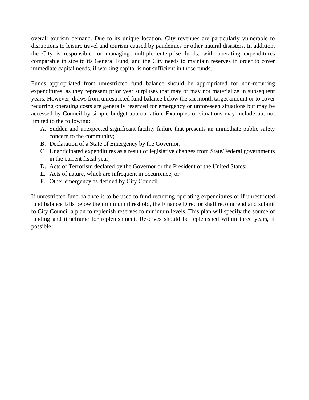overall tourism demand. Due to its unique location, City revenues are particularly vulnerable to disruptions to leisure travel and tourism caused by pandemics or other natural disasters. In addition, the City is responsible for managing multiple enterprise funds, with operating expenditures comparable in size to its General Fund, and the City needs to maintain reserves in order to cover immediate capital needs, if working capital is not sufficient in those funds.

Funds appropriated from unrestricted fund balance should be appropriated for non-recurring expenditures, as they represent prior year surpluses that may or may not materialize in subsequent years. However, draws from unrestricted fund balance below the six month target amount or to cover recurring operating costs are generally reserved for emergency or unforeseen situations but may be accessed by Council by simple budget appropriation. Examples of situations may include but not limited to the following:

- A. Sudden and unexpected significant facility failure that presents an immediate public safety concern to the community;
- B. Declaration of a State of Emergency by the Governor;
- C. Unanticipated expenditures as a result of legislative changes from State/Federal governments in the current fiscal year;
- D. Acts of Terrorism declared by the Governor or the President of the United States;
- E. Acts of nature, which are infrequent in occurrence; or
- F. Other emergency as defined by City Council

If unrestricted fund balance is to be used to fund recurring operating expenditures or if unrestricted fund balance falls below the minimum threshold, the Finance Director shall recommend and submit to City Council a plan to replenish reserves to minimum levels. This plan will specify the source of funding and timeframe for replenishment. Reserves should be replenished within three years, if possible.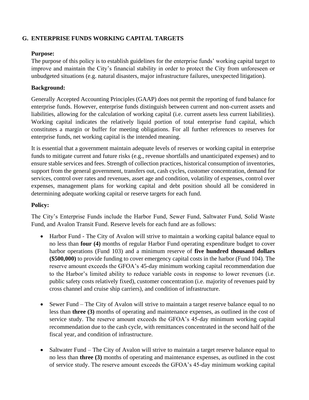# **G. ENTERPRISE FUNDS WORKING CAPITAL TARGETS**

#### **Purpose:**

The purpose of this policy is to establish guidelines for the enterprise funds' working capital target to improve and maintain the City's financial stability in order to protect the City from unforeseen or unbudgeted situations (e.g. natural disasters, major infrastructure failures, unexpected litigation).

# **Background:**

Generally Accepted Accounting Principles (GAAP) does not permit the reporting of fund balance for enterprise funds. However, enterprise funds distinguish between current and non-current assets and liabilities, allowing for the calculation of working capital (i.e. current assets less current liabilities). Working capital indicates the relatively liquid portion of total enterprise fund capital, which constitutes a margin or buffer for meeting obligations. For all further references to reserves for enterprise funds, net working capital is the intended meaning.

It is essential that a government maintain adequate levels of reserves or working capital in enterprise funds to mitigate current and future risks (e.g., revenue shortfalls and unanticipated expenses) and to ensure stable services and fees. Strength of collection practices, historical consumption of inventories, support from the general government, transfers out, cash cycles, customer concentration, demand for services, control over rates and revenues, asset age and condition, volatility of expenses, control over expenses, management plans for working capital and debt position should all be considered in determining adequate working capital or reserve targets for each fund.

# **Policy:**

The City's Enterprise Funds include the Harbor Fund, Sewer Fund, Saltwater Fund, Solid Waste Fund, and Avalon Transit Fund. Reserve levels for each fund are as follows:

- Harbor Fund The City of Avalon will strive to maintain a working capital balance equal to no less than **four (4)** months of regular Harbor Fund operating expenditure budget to cover harbor operations (Fund 103) and a minimum reserve of **five hundred thousand dollars (\$500,000)** to provide funding to cover emergency capital costs in the harbor (Fund 104). The reserve amount exceeds the GFOA's 45-day minimum working capital recommendation due to the Harbor's limited ability to reduce variable costs in response to lower revenues (i.e. public safety costs relatively fixed), customer concentration (i.e. majority of revenues paid by cross channel and cruise ship carriers), and condition of infrastructure.
- Sewer Fund The City of Avalon will strive to maintain a target reserve balance equal to no less than **three (3)** months of operating and maintenance expenses, as outlined in the cost of service study. The reserve amount exceeds the GFOA's 45-day minimum working capital recommendation due to the cash cycle, with remittances concentrated in the second half of the fiscal year, and condition of infrastructure.
- Saltwater Fund The City of Avalon will strive to maintain a target reserve balance equal to no less than **three (3)** months of operating and maintenance expenses, as outlined in the cost of service study. The reserve amount exceeds the GFOA's 45-day minimum working capital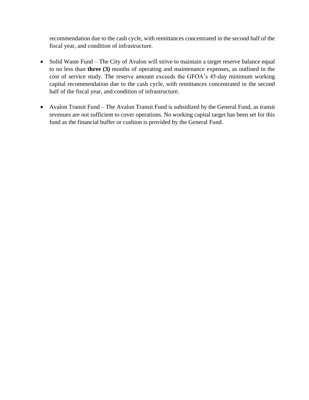recommendation due to the cash cycle, with remittances concentrated in the second half of the fiscal year, and condition of infrastructure.

- Solid Waste Fund The City of Avalon will strive to maintain a target reserve balance equal to no less than **three (3)** months of operating and maintenance expenses, as outlined in the cost of service study. The reserve amount exceeds the GFOA's 45-day minimum working capital recommendation due to the cash cycle, with remittances concentrated in the second half of the fiscal year, and condition of infrastructure.
- Avalon Transit Fund The Avalon Transit Fund is subsidized by the General Fund, as transit revenues are not sufficient to cover operations. No working capital target has been set for this fund as the financial buffer or cushion is provided by the General Fund.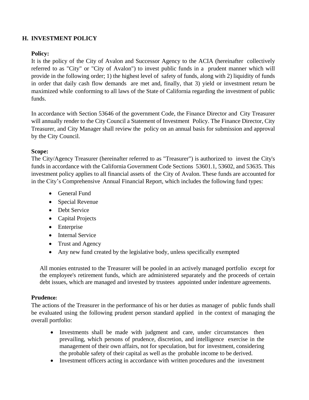# **H. INVESTMENT POLICY**

#### **Policy:**

It is the policy of the City of Avalon and Successor Agency to the ACIA (hereinafter collectively referred to as "City" or "City of Avalon") to invest public funds in a prudent manner which will provide in the following order; 1) the highest level of safety of funds, along with 2) liquidity of funds in order that daily cash flow demands are met and, finally, that 3) yield or investment return be maximized while conforming to all laws of the State of California regarding the investment of public funds.

In accordance with Section 53646 of the government Code, the Finance Director and City Treasurer will annually render to the City Council a Statement of Investment Policy. The Finance Director, City Treasurer, and City Manager shall review the policy on an annual basis for submission and approval by the City Council.

#### **Scope:**

The City/Agency Treasurer (hereinafter referred to as "Treasurer") is authorized to invest the City's funds in accordance with the California Government Code Sections 53601.1, 53602, and 53635. This investment policy applies to all financial assets of the City of Avalon. These funds are accounted for in the City's Comprehensive Annual Financial Report, which includes the following fund types:

- General Fund
- Special Revenue
- Debt Service
- Capital Projects
- Enterprise
- Internal Service
- Trust and Agency
- Any new fund created by the legislative body, unless specifically exempted

All monies entrusted to the Treasurer will be pooled in an actively managed portfolio except for the employee's retirement funds, which are administered separately and the proceeds of certain debt issues, which are managed and invested by trustees appointed under indenture agreements.

#### **Prudence:**

The actions of the Treasurer in the performance of his or her duties as manager of public funds shall be evaluated using the following prudent person standard applied in the context of managing the overall portfolio:

- Investments shall be made with judgment and care, under circumstances then prevailing, which persons of prudence, discretion, and intelligence exercise in the management of their own affairs, not for speculation, but for investment, considering the probable safety of their capital as well as the probable income to be derived.
- Investment officers acting in accordance with written procedures and the investment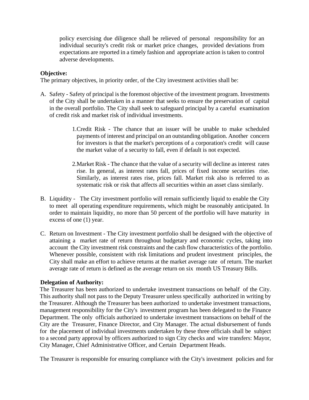policy exercising due diligence shall be relieved of personal responsibility for an individual security's credit risk or market price changes, provided deviations from expectations are reported in a timely fashion and appropriate action is taken to control adverse developments.

#### **Objective:**

The primary objectives, in priority order, of the City investment activities shall be:

- A. Safety Safety of principal is the foremost objective of the investment program. Investments of the City shall be undertaken in a manner that seeks to ensure the preservation of capital in the overall portfolio. The City shall seek to safeguard principal by a careful examination of credit risk and market risk of individual investments.
	- 1.Credit Risk The chance that an issuer will be unable to make scheduled payments of interest and principal on an outstanding obligation. Another concern for investors is that the market's perceptions of a corporation's credit will cause the market value of a security to fall, even if default is not expected.
	- 2.Market Risk The chance that the value of a security will decline as interest rates rise. In general, as interest rates fall, prices of fixed income securities rise. Similarly, as interest rates rise, prices fall. Market risk also is referred to as systematic risk or risk that affects all securities within an asset class similarly.
- B. Liquidity The City investment portfolio will remain sufficiently liquid to enable the City to meet all operating expenditure requirements, which might be reasonably anticipated. In order to maintain liquidity, no more than 50 percent of the portfolio will have maturity in excess of one (1) year.
- C. Return on Investment The City investment portfolio shall be designed with the objective of attaining a market rate of return throughout budgetary and economic cycles, taking into account the City investment risk constraints and the cash flow characteristics of the portfolio. Whenever possible, consistent with risk limitations and prudent investment principles, the City shall make an effort to achieve returns at the market average rate of return. The market average rate of return is defined as the average return on six month US Treasury Bills.

#### **Delegation of Authority:**

The Treasurer has been authorized to undertake investment transactions on behalf of the City. This authority shall not pass to the Deputy Treasurer unless specifically authorized in writing by the Treasurer. Although the Treasurer has been authorized to undertake investment transactions, management responsibility for the City's investment program has been delegated to the Finance Department. The only officials authorized to undertake investment transactions on behalf of the City are the Treasurer, Finance Director, and City Manager. The actual disbursement of funds for the placement of individual investments undertaken by these three officials shall be subject to a second party approval by officers authorized to sign City checks and wire transfers: Mayor, City Manager, Chief Administrative Officer, and Certain Department Heads.

The Treasurer is responsible for ensuring compliance with the City's investment policies and for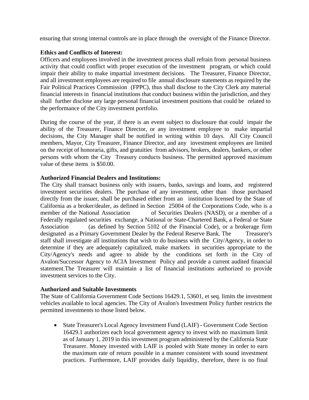ensuring that strong internal controls are in place through the oversight of the Finance Director.

#### **Ethics and Conflicts of Interest:**

Officers and employees involved in the investment process shall refrain from personal business activity that could conflict with proper execution of the investment program, or which could impair their ability to make impartial investment decisions. The Treasurer, Finance Director, and all investment employees are required to file annual disclosure statements as required by the Fair Political Practices Commission (FPPC), thus shall disclose to the City Clerk any material financial interests in financial institutions that conduct business within the jurisdiction, and they shall further disclose any large personal financial investment positions that could be related to the performance of the City investment portfolio.

During the course of the year, if there is an event subject to disclosure that could impair the ability of the Treasurer, Finance Director, or any investment employee to make impartial decisions, the City Manager shall be notified in writing within 10 days. All City Council members, Mayor, City Treasurer, Finance Director, and any investment employees are limited on the receipt of honoraria, gifts, and gratuities from advisors, brokers, dealers, bankers, or other persons with whom the City Treasury conducts business. The permitted approved maximum value of these items is \$50.00.

#### **Authorized Financial Dealers and Institutions:**

The City shall transact business only with issuers, banks, savings and loans, and registered investment securities dealers. The purchase of any investment, other than those purchased directly from the issuer, shall be purchased either from an institution licensed by the State of California as a broker/dealer, as defined in Section 25004 of the Corporations Code, who is a member of the National Association of Securities Dealers (NASD), or a member of a Federally regulated securities exchange, a National or State-Chartered Bank, a Federal or State Association (as defined by Section 5102 of the Financial Code), or a brokerage firm designated as a Primary Government Dealer by the Federal Reserve Bank. The Treasurer's staff shall investigate all institutions that wish to do business with the City/Agency, in order to determine if they are adequately capitalized, make markets in securities appropriate to the City/Agency's needs and agree to abide by the conditions set forth in the City of Avalon/Successor Agency to ACIA Investment Policy and provide a current audited financial statement.The Treasurer will maintain a list of financial institutions authorized to provide investment services to the City.

# **Authorized and Suitable Investments**

The State of California Government Code Sections 16429.1, 53601, et seq. limits the investment vehicles available to local agencies. The City of Avalon's Investment Policy further restricts the permitted investments to those listed below.

 State Treasurer's Local Agency Investment Fund (LAIF) - Government Code Section 16429.1 authorizes each local government agency to invest with no maximum limit as of January 1, 2019 in this investment program administered by the California State Treasurer. Money invested with LAIF is pooled with State money in order to earn the maximum rate of return possible in a manner consistent with sound investment practices. Furthermore, LAIF provides daily liquidity, therefore, there is no final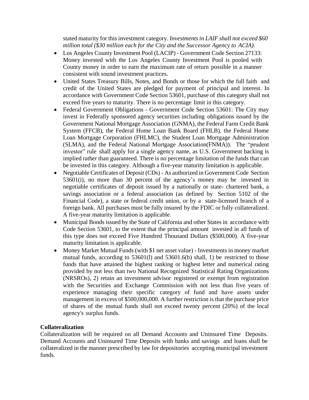stated maturity for this investment category. *Investmentsin LAIF shall not exceed \$60 million total (\$30 million each for the City and the Successor Agency to ACIA).*

- Los Angeles County Investment Pool (LACIP) Government Code Section 27133: Money invested with the Los Angeles County Investment Pool is pooled with County money in order to earn the maximum rate of return possible in a manner consistent with sound investment practices.
- United States Treasury Bills, Notes, and Bonds or those for which the full faith and credit of the United States are pledged for payment of principal and interest. In accordance with Government Code Section 53601, purchase of this category shall not exceed five years to maturity. There is no percentage limit in this category.
- Federal Government Obligations Government Code Section 53601: The City may invest in Federally sponsored agency securities including obligations issued by the Government National Mortgage Association (GNMA), the Federal Farm Credit Bank System (FFCB), the Federal Home Loan Bank Board (FHLB), the Federal Home Loan Mortgage Corporation (FHLMC), the Student Loan Mortgage Administration (SLMA), and the Federal National Mortgage Association(FNMA)). The "prudent investor" rule shall apply for a single agency name, as U.S. Government backing is implied rather than guaranteed. There is no percentage limitation of the funds that can be invested in this category. Although a five-year maturity limitation is applicable.
- Negotiable Certificates of Deposit (CDs) As authorized in Government Code Section 53601(i), no more than 30 percent of the agency's money may be invested in negotiable certificates of deposit issued by a nationally or state- chartered bank, a savings association or a federal association (as defined by Section 5102 of the Financial Code), a state or federal credit union, or by a state-licensed branch of a foreign bank. All purchases must be fully insured by the FDIC or fully collateralized. A five-year maturity limitation is applicable.
- Municipal Bonds issued by the State of California and other States in accordance with Code Section 53601, to the extent that the principal amount invested in all funds of this type does not exceed Five Hundred Thousand Dollars (\$500,000). A five-year maturity limitation is applicable.
- Money Market Mutual Funds (with \$1 net asset value) Investments in money market mutual funds, according to  $53601(1)$  and  $53601.6(b)$  shall, 1) be restricted to those funds that have attained the highest ranking or highest letter and numerical rating provided by not less than two National Recognized Statistical Rating Organizations (NRSROs), 2) retain an investment advisor registered or exempt from registration with the Securities and Exchange Commission with not less than five years of experience managing their specific category of fund and have assets under management in excess of \$500,000,000. A further restriction is that the purchase price of shares of the mutual funds shall not exceed twenty percent (20%) of the local agency's surplus funds.

#### **Collateralization**

Collateralization will be required on all Demand Accounts and Uninsured Time Deposits. Demand Accounts and Uninsured Time Deposits with banks and savings and loans shall be collateralized in the manner prescribed by law for depositories accepting municipal investment funds.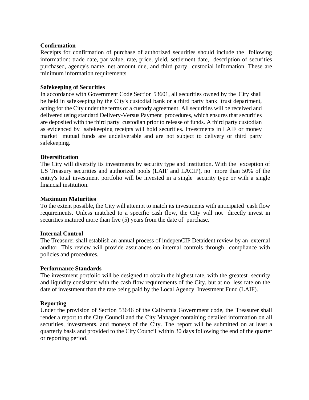#### **Confirmation**

Receipts for confirmation of purchase of authorized securities should include the following information: trade date, par value, rate, price, yield, settlement date, description of securities purchased, agency's name, net amount due, and third party custodial information. These are minimum information requirements.

#### **Safekeeping of Securities**

In accordance with Government Code Section 53601, all securities owned by the City shall be held in safekeeping by the City's custodial bank or a third party bank trust department, acting for the City under the terms of a custody agreement. All securities will be received and delivered using standard Delivery-Versus Payment procedures, which ensures that securities are deposited with the third party custodian prior to release of funds. A third party custodian as evidenced by safekeeping receipts will hold securities. Investments in LAIF or money market mutual funds are undeliverable and are not subject to delivery or third party safekeeping.

#### **Diversification**

The City will diversify its investments by security type and institution. With the exception of US Treasury securities and authorized pools (LAIF and LACIP), no more than 50% of the entity's total investment portfolio will be invested in a single security type or with a single financial institution.

#### **Maximum Maturities**

To the extent possible, the City will attempt to match its investments with anticipated cash flow requirements. Unless matched to a specific cash flow, the City will not directly invest in securities matured more than five (5) years from the date of purchase.

#### **Internal Control**

The Treasurer shall establish an annual process of indepenCIP Detaident review by an external auditor. This review will provide assurances on internal controls through compliance with policies and procedures.

#### **Performance Standards**

The investment portfolio will be designed to obtain the highest rate, with the greatest security and liquidity consistent with the cash flow requirements of the City, but at no less rate on the date of investment than the rate being paid by the Local Agency Investment Fund (LAIF).

#### **Reporting**

Under the provision of Section 53646 of the California Government code, the Treasurer shall render a report to the City Council and the City Manager containing detailed information on all securities, investments, and moneys of the City. The report will be submitted on at least a quarterly basis and provided to the City Council within 30 days following the end of the quarter or reporting period.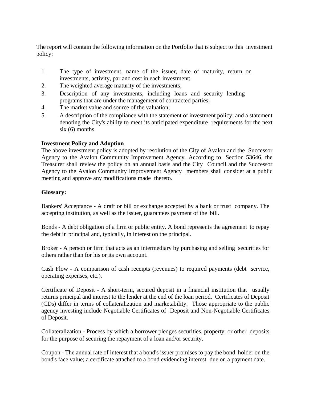The report will contain the following information on the Portfolio that is subject to this investment policy:

- 1. The type of investment, name of the issuer, date of maturity, return on investments, activity, par and cost in each investment;
- 2. The weighted average maturity of the investments;
- 3. Description of any investments, including loans and security lending programs that are under the management of contracted parties;
- 4. The market value and source of the valuation;
- 5. A description of the compliance with the statement of investment policy; and a statement denoting the City's ability to meet its anticipated expenditure requirements for the next  $six(6)$  months.

#### **Investment Policy and Adoption**

The above investment policy is adopted by resolution of the City of Avalon and the Successor Agency to the Avalon Community Improvement Agency. According to Section 53646, the Treasurer shall review the policy on an annual basis and the City Council and the Successor Agency to the Avalon Community Improvement Agency members shall consider at a public meeting and approve any modifications made thereto.

#### **Glossary:**

Bankers' Acceptance - A draft or bill or exchange accepted by a bank or trust company. The accepting institution, as well as the issuer, guarantees payment of the bill.

Bonds - A debt obligation of a firm or public entity. A bond represents the agreement to repay the debt in principal and, typically, in interest on the principal.

Broker - A person or firm that acts as an intermediary by purchasing and selling securities for others rather than for his or its own account.

Cash Flow - A comparison of cash receipts (revenues) to required payments (debt service, operating expenses, etc.).

Certificate of Deposit - A short-term, secured deposit in a financial institution that usually returns principal and interest to the lender at the end of the loan period. Certificates of Deposit (CDs) differ in terms of collateralization and marketability. Those appropriate to the public agency investing include Negotiable Certificates of Deposit and Non-Negotiable Certificates of Deposit.

Collateralization - Process by which a borrower pledges securities, property, or other deposits for the purpose of securing the repayment of a loan and/or security.

Coupon - The annual rate of interest that a bond's issuer promises to pay the bond holder on the bond's face value; a certificate attached to a bond evidencing interest due on a payment date.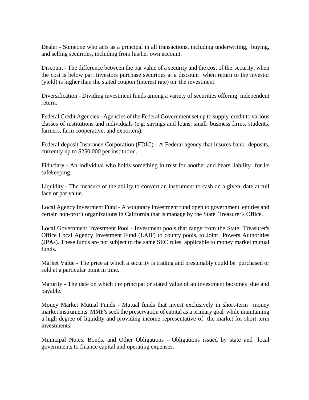Dealer - Someone who acts as a principal in all transactions, including underwriting, buying, and selling securities, including from his/her own account.

Discount - The difference between the par value of a security and the cost of the security, when the cost is below par. Investors purchase securities at a discount when return to the investor (yield) is higher than the stated coupon (interest rate) on the investment.

Diversification - Dividing investment funds among a variety of securities offering independent return.

Federal Credit Agencies - Agencies of the Federal Government set up to supply credit to various classes of institutions and individuals (e.g. savings and loans, small business firms, students, farmers, farm cooperative, and exporters).

Federal deposit Insurance Corporation (FDIC) - A Federal agency that insures bank deposits, currently up to \$250,000 per institution.

Fiduciary - An individual who holds something in trust for another and bears liability for its safekeeping.

Liquidity - The measure of the ability to convert an instrument to cash on a given date at full face or par value.

Local Agency Investment Fund - A voluntary investment fund open to government entities and certain non-profit organizations in California that is manage by the State Treasurer's Office.

Local Government Investment Pool - Investment pools that range from the State Treasurer's Office Local Agency Investment Fund (LAIF) to county pools, to Joint Powers Authorities (JPAs). These funds are not subject to the same SEC rules applicable to money market mutual funds.

Market Value - The price at which a security is trading and presumably could be purchased or sold at a particular point in time.

Maturity - The date on which the principal or stated value of an investment becomes due and payable.

Money Market Mutual Funds - Mutual funds that invest exclusively in short-term money market instruments. MMF's seek the preservation of capital as a primary goal while maintaining a high degree of liquidity and providing income representative of the market for short term investments.

Municipal Notes, Bonds, and Other Obligations - Obligations issued by state and local governments to finance capital and operating expenses.